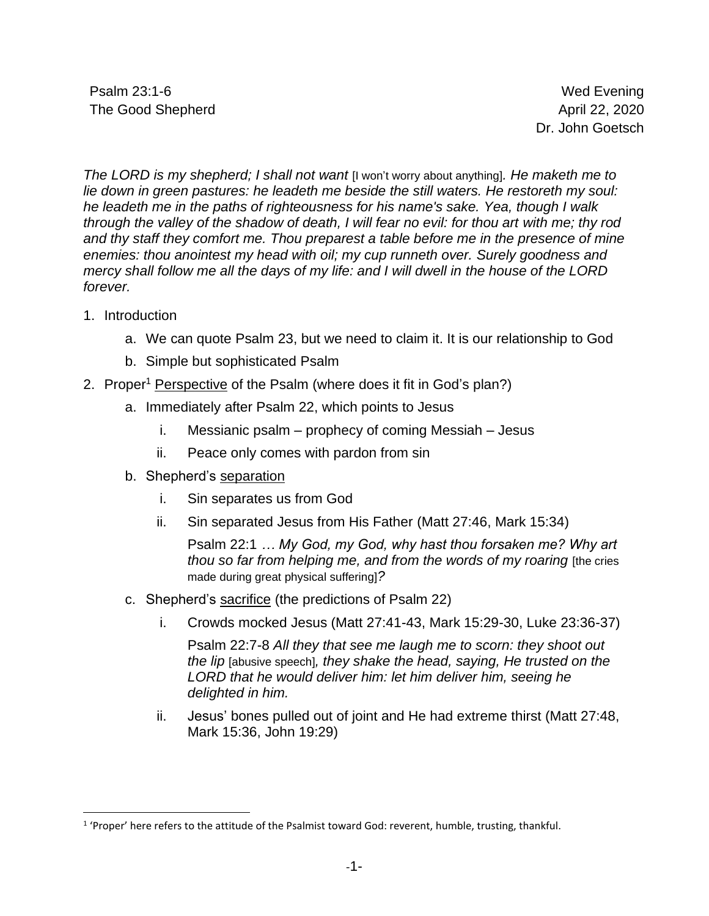Psalm 23:1-6 Wed Evening The Good Shepherd **April 22, 2020** 

Dr. John Goetsch

*The LORD is my shepherd; I shall not want* [I won't worry about anything]*. He maketh me to lie down in green pastures: he leadeth me beside the still waters. He restoreth my soul: he leadeth me in the paths of righteousness for his name's sake. Yea, though I walk through the valley of the shadow of death, I will fear no evil: for thou art with me; thy rod and thy staff they comfort me. Thou preparest a table before me in the presence of mine enemies: thou anointest my head with oil; my cup runneth over. Surely goodness and mercy shall follow me all the days of my life: and I will dwell in the house of the LORD forever.*

- 1. Introduction
	- a. We can quote Psalm 23, but we need to claim it. It is our relationship to God
	- b. Simple but sophisticated Psalm
- 2. Proper<sup>1</sup> Perspective of the Psalm (where does it fit in God's plan?)
	- a. Immediately after Psalm 22, which points to Jesus
		- i. Messianic psalm prophecy of coming Messiah Jesus
		- ii. Peace only comes with pardon from sin
	- b. Shepherd's separation
		- i. Sin separates us from God
		- ii. Sin separated Jesus from His Father (Matt 27:46, Mark 15:34)

Psalm 22:1 *… My God, my God, why hast thou forsaken me? Why art thou so far from helping me, and from the words of my roaring* [the cries made during great physical suffering]*?*

- c. Shepherd's sacrifice (the predictions of Psalm 22)
	- i. Crowds mocked Jesus (Matt 27:41-43, Mark 15:29-30, Luke 23:36-37)

Psalm 22:7-8 *All they that see me laugh me to scorn: they shoot out the lip* [abusive speech]*, they shake the head, saying, He trusted on the LORD that he would deliver him: let him deliver him, seeing he delighted in him.*

ii. Jesus' bones pulled out of joint and He had extreme thirst (Matt 27:48, Mark 15:36, John 19:29)

<sup>&</sup>lt;sup>1</sup> 'Proper' here refers to the attitude of the Psalmist toward God: reverent, humble, trusting, thankful.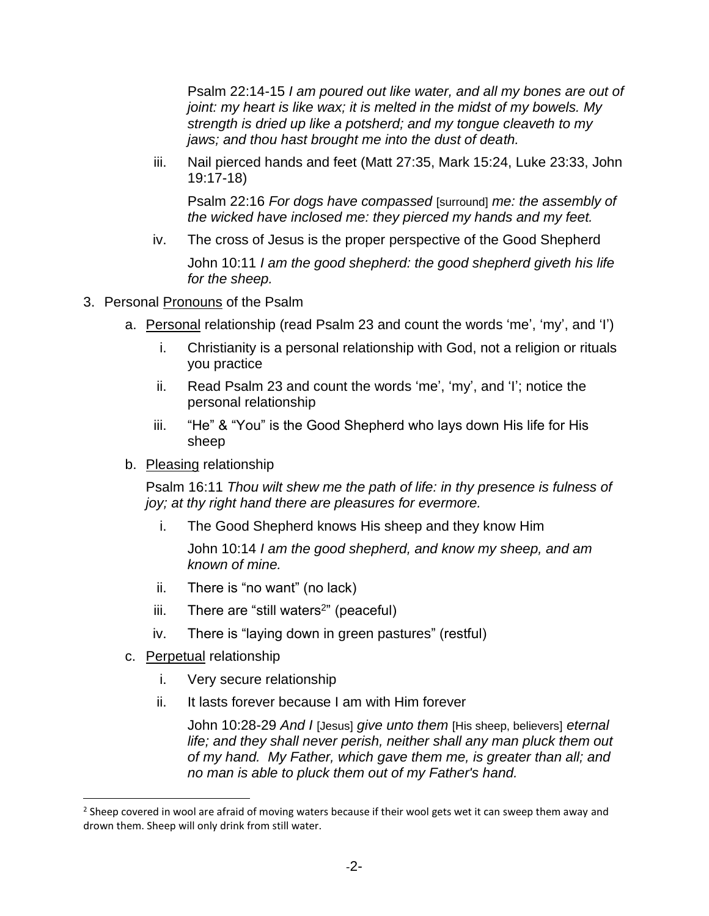Psalm 22:14-15 *I am poured out like water, and all my bones are out of joint: my heart is like wax; it is melted in the midst of my bowels. My strength is dried up like a potsherd; and my tongue cleaveth to my jaws; and thou hast brought me into the dust of death.*

iii. Nail pierced hands and feet (Matt 27:35, Mark 15:24, Luke 23:33, John 19:17-18)

Psalm 22:16 *For dogs have compassed* [surround] *me: the assembly of the wicked have inclosed me: they pierced my hands and my feet.*

iv. The cross of Jesus is the proper perspective of the Good Shepherd

John 10:11 *I am the good shepherd: the good shepherd giveth his life for the sheep.*

- 3. Personal Pronouns of the Psalm
	- a. Personal relationship (read Psalm 23 and count the words 'me', 'my', and 'I')
		- i. Christianity is a personal relationship with God, not a religion or rituals you practice
		- ii. Read Psalm 23 and count the words 'me', 'my', and 'I'; notice the personal relationship
		- iii. "He" & "You" is the Good Shepherd who lays down His life for His sheep
	- b. Pleasing relationship

Psalm 16:11 *Thou wilt shew me the path of life: in thy presence is fulness of joy; at thy right hand there are pleasures for evermore.*

i. The Good Shepherd knows His sheep and they know Him

John 10:14 *I am the good shepherd, and know my sheep, and am known of mine.*

- ii. There is "no want" (no lack)
- iii. There are "still waters<sup>2</sup>" (peaceful)
- iv. There is "laying down in green pastures" (restful)
- c. Perpetual relationship
	- i. Very secure relationship
	- ii. It lasts forever because I am with Him forever

John 10:28-29 *And I* [Jesus] *give unto them* [His sheep, believers] *eternal life; and they shall never perish, neither shall any man pluck them out of my hand. My Father, which gave them me, is greater than all; and no man is able to pluck them out of my Father's hand.*

<sup>&</sup>lt;sup>2</sup> Sheep covered in wool are afraid of moving waters because if their wool gets wet it can sweep them away and drown them. Sheep will only drink from still water.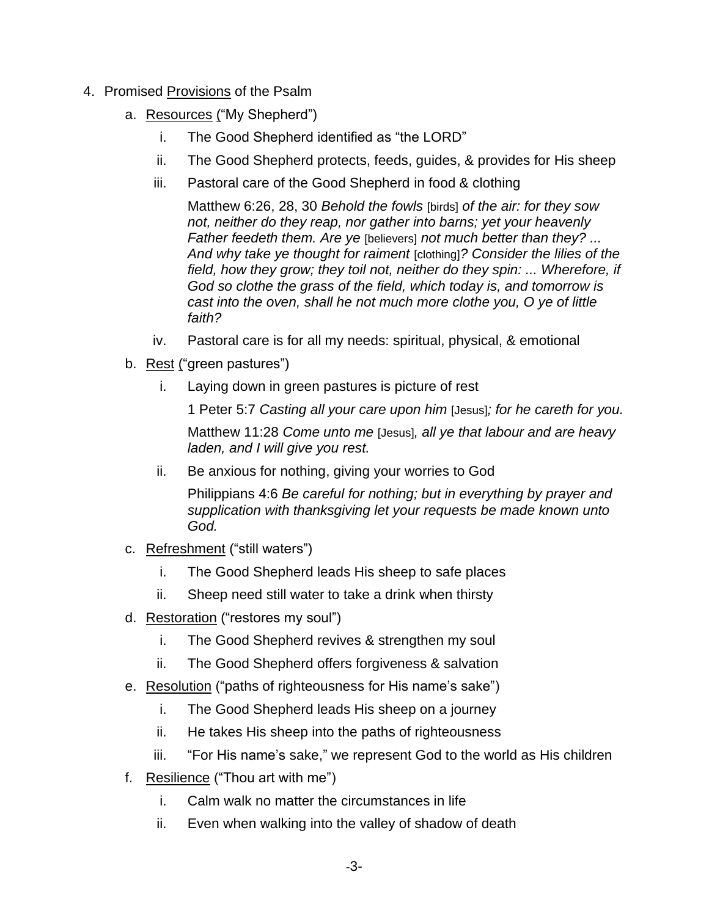- 4. Promised Provisions of the Psalm
	- a. Resources ("My Shepherd")
		- i. The Good Shepherd identified as "the LORD"
		- ii. The Good Shepherd protects, feeds, guides, & provides for His sheep
		- iii. Pastoral care of the Good Shepherd in food & clothing

Matthew 6:26, 28, 30 *Behold the fowls* [birds] *of the air: for they sow not, neither do they reap, nor gather into barns; yet your heavenly Father feedeth them. Are ye* [believers] *not much better than they? ... And why take ye thought for raiment* [clothing]*? Consider the lilies of the field, how they grow; they toil not, neither do they spin: ... Wherefore, if God so clothe the grass of the field, which today is, and tomorrow is cast into the oven, shall he not much more clothe you, O ye of little faith?*

- iv. Pastoral care is for all my needs: spiritual, physical, & emotional
- b. Rest ("green pastures")
	- i. Laying down in green pastures is picture of rest

1 Peter 5:7 *Casting all your care upon him* [Jesus]*; for he careth for you.*

Matthew 11:28 *Come unto me* [Jesus]*, all ye that labour and are heavy laden, and I will give you rest.*

ii. Be anxious for nothing, giving your worries to God

Philippians 4:6 *Be careful for nothing; but in everything by prayer and supplication with thanksgiving let your requests be made known unto God.*

- c. Refreshment ("still waters")
	- i. The Good Shepherd leads His sheep to safe places
	- ii. Sheep need still water to take a drink when thirsty
- d. Restoration ("restores my soul")
	- i. The Good Shepherd revives & strengthen my soul
	- ii. The Good Shepherd offers forgiveness & salvation
- e. Resolution ("paths of righteousness for His name's sake")
	- i. The Good Shepherd leads His sheep on a journey
	- ii. He takes His sheep into the paths of righteousness
	- iii. "For His name's sake," we represent God to the world as His children
- f. Resilience ("Thou art with me")
	- i. Calm walk no matter the circumstances in life
	- ii. Even when walking into the valley of shadow of death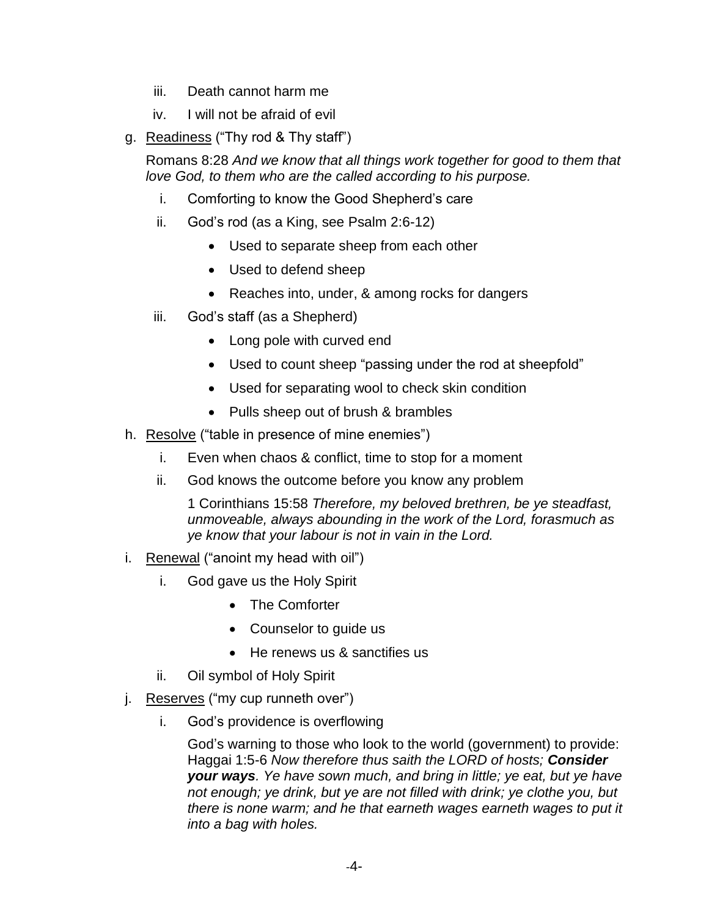- iii. Death cannot harm me
- iv. I will not be afraid of evil
- g. Readiness ("Thy rod & Thy staff")

Romans 8:28 *And we know that all things work together for good to them that love God, to them who are the called according to his purpose.*

- i. Comforting to know the Good Shepherd's care
- ii. God's rod (as a King, see Psalm 2:6-12)
	- Used to separate sheep from each other
	- Used to defend sheep
	- Reaches into, under, & among rocks for dangers
- iii. God's staff (as a Shepherd)
	- Long pole with curved end
	- Used to count sheep "passing under the rod at sheepfold"
	- Used for separating wool to check skin condition
	- Pulls sheep out of brush & brambles
- h. Resolve ("table in presence of mine enemies")
	- i. Even when chaos & conflict, time to stop for a moment
	- ii. God knows the outcome before you know any problem

1 Corinthians 15:58 *Therefore, my beloved brethren, be ye steadfast, unmoveable, always abounding in the work of the Lord, forasmuch as ye know that your labour is not in vain in the Lord.*

- i. Renewal ("anoint my head with oil")
	- i. God gave us the Holy Spirit
		- The Comforter
		- Counselor to guide us
		- He renews us & sanctifies us
	- ii. Oil symbol of Holy Spirit
- j. Reserves ("my cup runneth over")
	- i. God's providence is overflowing

God's warning to those who look to the world (government) to provide: Haggai 1:5-6 *Now therefore thus saith the LORD of hosts; Consider your ways. Ye have sown much, and bring in little; ye eat, but ye have not enough; ye drink, but ye are not filled with drink; ye clothe you, but there is none warm; and he that earneth wages earneth wages to put it into a bag with holes.*